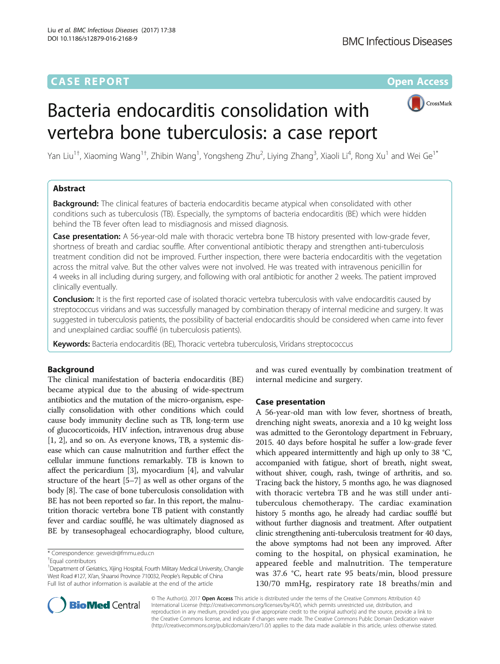# **CASE REPORT CASE REPORT CASE REPORT**



# Bacteria endocarditis consolidation with vertebra bone tuberculosis: a case report

Yan Liu<sup>1†</sup>, Xiaoming Wang<sup>1†</sup>, Zhibin Wang<sup>1</sup>, Yongsheng Zhu<sup>2</sup>, Liying Zhang<sup>3</sup>, Xiaoli Li<sup>4</sup>, Rong Xu<sup>1</sup> and Wei Ge<sup>1\*</sup>

# Abstract

**Background:** The clinical features of bacteria endocarditis became atypical when consolidated with other conditions such as tuberculosis (TB). Especially, the symptoms of bacteria endocarditis (BE) which were hidden behind the TB fever often lead to misdiagnosis and missed diagnosis.

Case presentation: A 56-year-old male with thoracic vertebra bone TB history presented with low-grade fever, shortness of breath and cardiac souffle. After conventional antibiotic therapy and strengthen anti-tuberculosis treatment condition did not be improved. Further inspection, there were bacteria endocarditis with the vegetation across the mitral valve. But the other valves were not involved. He was treated with intravenous penicillin for 4 weeks in all including during surgery, and following with oral antibiotic for another 2 weeks. The patient improved clinically eventually.

Conclusion: It is the first reported case of isolated thoracic vertebra tuberculosis with valve endocarditis caused by streptococcus viridans and was successfully managed by combination therapy of internal medicine and surgery. It was suggested in tuberculosis patients, the possibility of bacterial endocarditis should be considered when came into fever and unexplained cardiac soufflé (in tuberculosis patients).

Keywords: Bacteria endocarditis (BE), Thoracic vertebra tuberculosis, Viridans streptococcus

# Background

The clinical manifestation of bacteria endocarditis (BE) became atypical due to the abusing of wide-spectrum antibiotics and the mutation of the micro-organism, especially consolidation with other conditions which could cause body immunity decline such as TB, long-term use of glucocorticoids, HIV infection, intravenous drug abuse [[1, 2\]](#page-3-0), and so on. As everyone knows, TB, a systemic disease which can cause malnutrition and further effect the cellular immune functions remarkably. TB is known to affect the pericardium [[3\]](#page-3-0), myocardium [\[4](#page-3-0)], and valvular structure of the heart [\[5](#page-3-0)–[7](#page-3-0)] as well as other organs of the body [\[8\]](#page-3-0). The case of bone tuberculosis consolidation with BE has not been reported so far. In this report, the malnutrition thoracic vertebra bone TB patient with constantly fever and cardiac soufflé, he was ultimately diagnosed as BE by transesophageal echocardiography, blood culture,

\* Correspondence: [geweidr@fmmu.edu.cn](mailto:geweidr@fmmu.edu.cn) †

and was cured eventually by combination treatment of internal medicine and surgery.

## Case presentation

A 56-year-old man with low fever, shortness of breath, drenching night sweats, anorexia and a 10 kg weight loss was admitted to the Gerontology department in February, 2015. 40 days before hospital he suffer a low-grade fever which appeared intermittently and high up only to 38 °C, accompanied with fatigue, short of breath, night sweat, without shiver, cough, rash, twinge of arthritis, and so. Tracing back the history, 5 months ago, he was diagnosed with thoracic vertebra TB and he was still under antituberculous chemotherapy. The cardiac examination history 5 months ago, he already had cardiac soufflé but without further diagnosis and treatment. After outpatient clinic strengthening anti-tuberculosis treatment for 40 days, the above symptoms had not been any improved. After coming to the hospital, on physical examination, he appeared feeble and malnutrition. The temperature was 37.6 °C, heart rate 95 beats/min, blood pressure 130/70 mmHg, respiratory rate 18 breaths/min and



© The Author(s). 2017 Open Access This article is distributed under the terms of the Creative Commons Attribution 4.0 International License [\(http://creativecommons.org/licenses/by/4.0/](http://creativecommons.org/licenses/by/4.0/)), which permits unrestricted use, distribution, and reproduction in any medium, provided you give appropriate credit to the original author(s) and the source, provide a link to the Creative Commons license, and indicate if changes were made. The Creative Commons Public Domain Dedication waiver [\(http://creativecommons.org/publicdomain/zero/1.0/](http://creativecommons.org/publicdomain/zero/1.0/)) applies to the data made available in this article, unless otherwise stated.

Equal contributors

<sup>&</sup>lt;sup>1</sup> Department of Geriatrics, Xijing Hospital, Fourth Military Medical University, Changle West Road #127, Xi'an, Shaanxi Province 710032, People's Republic of China Full list of author information is available at the end of the article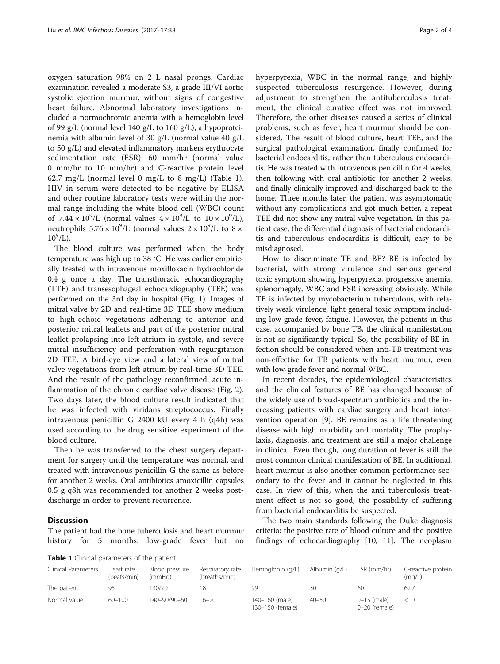oxygen saturation 98% on 2 L nasal prongs. Cardiac examination revealed a moderate S3, a grade III/VI aortic systolic ejection murmur, without signs of congestive heart failure. Abnormal laboratory investigations included a normochromic anemia with a hemoglobin level of 99 g/L (normal level 140 g/L to 160 g/L), a hypoproteinemia with albumin level of 30 g/L (normal value 40 g/L to 50 g/L) and elevated inflammatory markers erythrocyte sedimentation rate (ESR): 60 mm/hr (normal value 0 mm/hr to 10 mm/hr) and C-reactive protein level 62.7 mg/L (normal level 0 mg/L to 8 mg/L) (Table 1). HIV in serum were detected to be negative by ELISA and other routine laboratory tests were within the normal range including the white blood cell (WBC) count of  $7.44 \times 10^9$ /L (normal values  $4 \times 10^9$ /L to  $10 \times 10^9$ /L), neutrophils  $5.76 \times 10^9$ /L (normal values  $2 \times 10^9$ /L to  $8 \times$  $10^9$ /L).

The blood culture was performed when the body temperature was high up to 38 °C. He was earlier empirically treated with intravenous moxifloxacin hydrochloride 0.4 g once a day. The transthoracic echocardiography (TTE) and transesophageal echocardiography (TEE) was performed on the 3rd day in hospital (Fig. [1](#page-2-0)). Images of mitral valve by 2D and real-time 3D TEE show medium to high-echoic vegetations adhering to anterior and posterior mitral leaflets and part of the posterior mitral leaflet prolapsing into left atrium in systole, and severe mitral insufficiency and perforation with regurgitation 2D TEE. A bird-eye view and a lateral view of mitral valve vegetations from left atrium by real-time 3D TEE. And the result of the pathology reconfirmed: acute inflammation of the chronic cardiac valve disease (Fig. [2](#page-2-0)). Two days later, the blood culture result indicated that he was infected with viridans streptococcus. Finally intravenous penicillin G 2400 kU every 4 h (q4h) was used according to the drug sensitive experiment of the blood culture.

Then he was transferred to the chest surgery department for surgery until the temperature was normal, and treated with intravenous penicillin G the same as before for another 2 weeks. Oral antibiotics amoxicillin capsules 0.5 g q8h was recommended for another 2 weeks postdischarge in order to prevent recurrence.

# **Discussion**

The patient had the bone tuberculosis and heart murmur history for 5 months, low-grade fever but no hyperpyrexia, WBC in the normal range, and highly suspected tuberculosis resurgence. However, during adjustment to strengthen the antituberculosis treatment, the clinical curative effect was not improved. Therefore, the other diseases caused a series of clinical problems, such as fever, heart murmur should be considered. The result of blood culture, heart TEE, and the surgical pathological examination, finally confirmed for bacterial endocarditis, rather than tuberculous endocarditis. He was treated with intravenous penicillin for 4 weeks, then following with oral antibiotic for another 2 weeks, and finally clinically improved and discharged back to the home. Three months later, the patient was asymptomatic without any complications and got much better, a repeat TEE did not show any mitral valve vegetation. In this patient case, the differential diagnosis of bacterial endocarditis and tuberculous endocarditis is difficult, easy to be misdiagnosed.

How to discriminate TE and BE? BE is infected by bacterial, with strong virulence and serious general toxic symptom showing hyperpyrexia, progressive anemia, splenomegaly, WBC and ESR increasing obviously. While TE is infected by mycobacterium tuberculous, with relatively weak virulence, light general toxic symptom including low-grade fever, fatigue. However, the patients in this case, accompanied by bone TB, the clinical manifestation is not so significantly typical. So, the possibility of BE infection should be considered when anti-TB treatment was non-effective for TB patients with heart murmur, even with low-grade fever and normal WBC.

In recent decades, the epidemiological characteristics and the clinical features of BE has changed because of the widely use of broad-spectrum antibiotics and the increasing patients with cardiac surgery and heart intervention operation [\[9](#page-3-0)]. BE remains as a life threatening disease with high morbidity and mortality. The prophylaxis, diagnosis, and treatment are still a major challenge in clinical. Even though, long duration of fever is still the most common clinical manifestation of BE. In additional, heart murmur is also another common performance secondary to the fever and it cannot be neglected in this case. In view of this, when the anti tuberculosis treatment effect is not so good, the possibility of suffering from bacterial endocarditis be suspected.

The two main standards following the Duke diagnosis criteria: the positive rate of blood culture and the positive findings of echocardiography [\[10, 11\]](#page-3-0). The neoplasm

Table 1 Clinical parameters of the patient

| <b>I WATE</b> I CHINCOI DOIONNCCIO OI LIIC DOLICIIL |                           |                          |                                   |                                    |               |                                  |                              |
|-----------------------------------------------------|---------------------------|--------------------------|-----------------------------------|------------------------------------|---------------|----------------------------------|------------------------------|
| Clinical Parameters                                 | Heart rate<br>(beats/min) | Blood pressure<br>(mmHa) | Respiratory rate<br>(breaths/min) | Hemoglobin (g/L)                   | Albumin (g/L) | ESR (mm/hr)                      | C-reactive protein<br>(mq/L) |
| The patient                                         |                           | 130/70                   |                                   | 99                                 | 30            | 60                               | 62.7                         |
| Normal value                                        | $60 - 100$                | 140-90/90-60             | $16 - 20$                         | 140-160 (male)<br>130-150 (female) | $40 - 50$     | $0 - 15$ (male)<br>0-20 (female) | <10                          |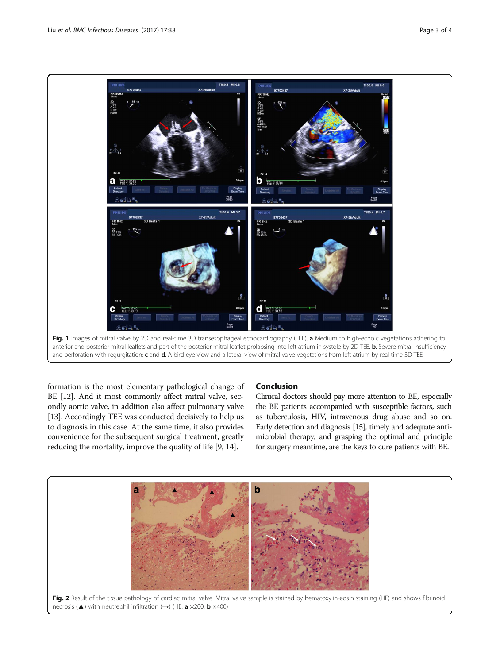<span id="page-2-0"></span>

formation is the most elementary pathological change of BE [\[12\]](#page-3-0). And it most commonly affect mitral valve, secondly aortic valve, in addition also affect pulmonary valve [[13](#page-3-0)]. Accordingly TEE was conducted decisively to help us to diagnosis in this case. At the same time, it also provides convenience for the subsequent surgical treatment, greatly reducing the mortality, improve the quality of life [\[9](#page-3-0), [14\]](#page-3-0).

# Conclusion

Clinical doctors should pay more attention to BE, especially the BE patients accompanied with susceptible factors, such as tuberculosis, HIV, intravenous drug abuse and so on. Early detection and diagnosis [\[15](#page-3-0)], timely and adequate antimicrobial therapy, and grasping the optimal and principle for surgery meantime, are the keys to cure patients with BE.